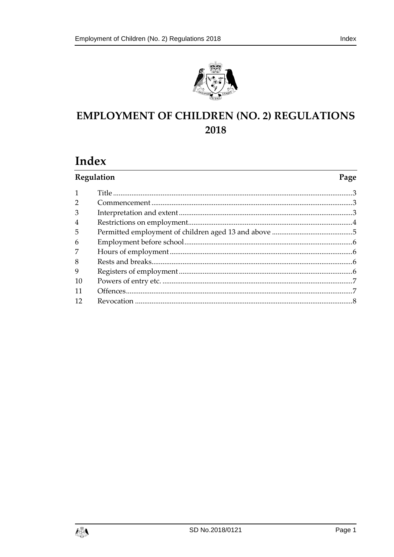



# **EMPLOYMENT OF CHILDREN (NO. 2) REGULATIONS** 2018

## Index

| Regulation | Page |
|------------|------|
|            |      |
|            |      |
|            |      |
|            |      |
|            |      |
|            |      |
|            |      |
|            |      |
|            |      |
|            |      |
|            |      |
|            |      |
|            |      |

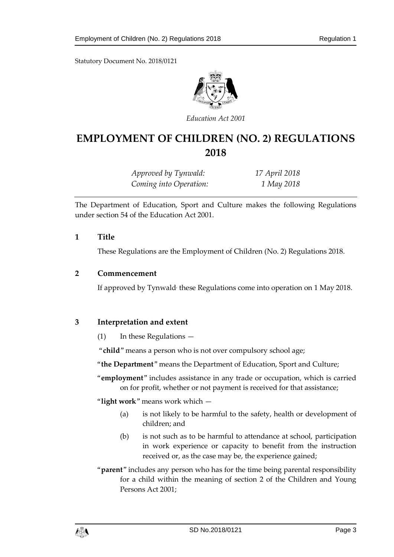Statutory Document No. 2018/0121



*Education Act 2001*

## **EMPLOYMENT OF CHILDREN (NO. 2) REGULATIONS 2018**

| Approved by Tynwald:   | 17 April 2018 |
|------------------------|---------------|
| Coming into Operation: | 1 May 2018    |

The Department of Education, Sport and Culture makes the following Regulations under section 54 of the Education Act 2001.

#### <span id="page-2-0"></span>**1 Title**

These Regulations are the Employment of Children (No. 2) Regulations 2018.

#### <span id="page-2-1"></span>**2 Commencement**

If approved by Tynwald, these Regulations come into operation on 1 May 2018.

### <span id="page-2-2"></span>**3 Interpretation and extent**

(1) In these Regulations —

"**child**" means a person who is not over compulsory school age;

"**the Department**" means the Department of Education, Sport and Culture;

"**employment**" includes assistance in any trade or occupation, which is carried on for profit, whether or not payment is received for that assistance;

"**light work**" means work which —

- (a) is not likely to be harmful to the safety, health or development of children; and
- (b) is not such as to be harmful to attendance at school, participation in work experience or capacity to benefit from the instruction received or, as the case may be, the experience gained;
- "**parent**" includes any person who has for the time being parental responsibility for a child within the meaning of section 2 of the Children and Young Persons Act 2001;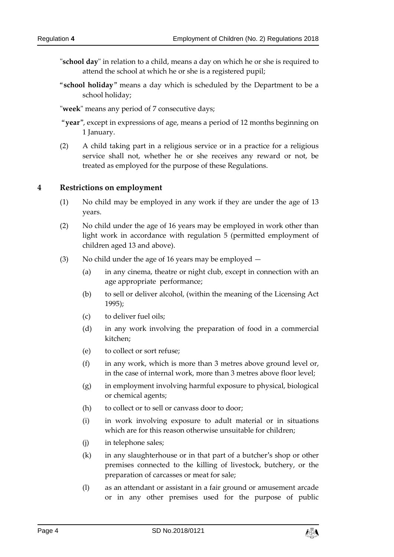- "**school day**" in relation to a child, means a day on which he or she is required to attend the school at which he or she is a registered pupil;
- "**school holiday**" means a day which is scheduled by the Department to be a school holiday;
- "**week**" means any period of 7 consecutive days;
- "**year**", except in expressions of age, means a period of 12 months beginning on 1 January.
- (2) A child taking part in a religious service or in a practice for a religious service shall not, whether he or she receives any reward or not, be treated as employed for the purpose of these Regulations.

#### <span id="page-3-0"></span>**4 Restrictions on employment**

- (1) No child may be employed in any work if they are under the age of 13 years.
- (2) No child under the age of 16 years may be employed in work other than light work in accordance with regulation 5 (permitted employment of children aged 13 and above).
- (3) No child under the age of 16 years may be employed
	- (a) in any cinema, theatre or night club, except in connection with an age appropriate performance;
	- (b) to sell or deliver alcohol, (within the meaning of the Licensing Act 1995);
	- (c) to deliver fuel oils;
	- (d) in any work involving the preparation of food in a commercial kitchen;
	- (e) to collect or sort refuse;
	- (f) in any work, which is more than 3 metres above ground level or, in the case of internal work, more than 3 metres above floor level;
	- (g) in employment involving harmful exposure to physical, biological or chemical agents;
	- (h) to collect or to sell or canvass door to door;
	- (i) in work involving exposure to adult material or in situations which are for this reason otherwise unsuitable for children;
	- (j) in telephone sales;
	- (k) in any slaughterhouse or in that part of a butcher's shop or other premises connected to the killing of livestock, butchery, or the preparation of carcasses or meat for sale;
	- (l) as an attendant or assistant in a fair ground or amusement arcade or in any other premises used for the purpose of public

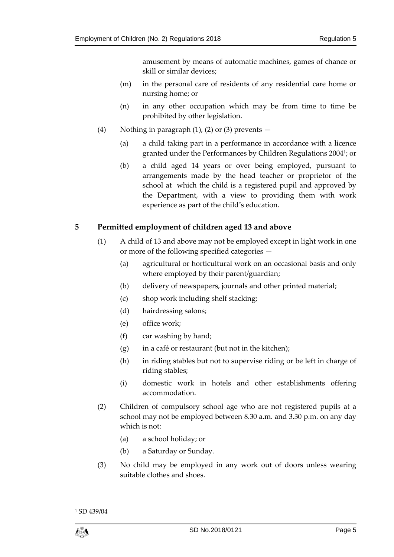amusement by means of automatic machines, games of chance or skill or similar devices;

- (m) in the personal care of residents of any residential care home or nursing home; or
- (n) in any other occupation which may be from time to time be prohibited by other legislation.
- (4) Nothing in paragraph (1), (2) or (3) prevents  $-$ 
	- (a) a child taking part in a performance in accordance with a licence granted under the Performances by Children Regulations 2004<sup>1</sup> ; or
	- (b) a child aged 14 years or over being employed, pursuant to arrangements made by the head teacher or proprietor of the school at which the child is a registered pupil and approved by the Department, with a view to providing them with work experience as part of the child's education.

## <span id="page-4-0"></span>**5 Permitted employment of children aged 13 and above**

- (1) A child of 13 and above may not be employed except in light work in one or more of the following specified categories —
	- (a) agricultural or horticultural work on an occasional basis and only where employed by their parent/guardian;
	- (b) delivery of newspapers, journals and other printed material;
	- (c) shop work including shelf stacking;
	- (d) hairdressing salons;
	- (e) office work;
	- (f) car washing by hand;
	- $(g)$  in a café or restaurant (but not in the kitchen);
	- (h) in riding stables but not to supervise riding or be left in charge of riding stables;
	- (i) domestic work in hotels and other establishments offering accommodation.
- (2) Children of compulsory school age who are not registered pupils at a school may not be employed between 8.30 a.m. and 3.30 p.m. on any day which is not:
	- (a) a school holiday; or
	- (b) a Saturday or Sunday.
- (3) No child may be employed in any work out of doors unless wearing suitable clothes and shoes.

1

<sup>&</sup>lt;sup>1</sup> SD 439/04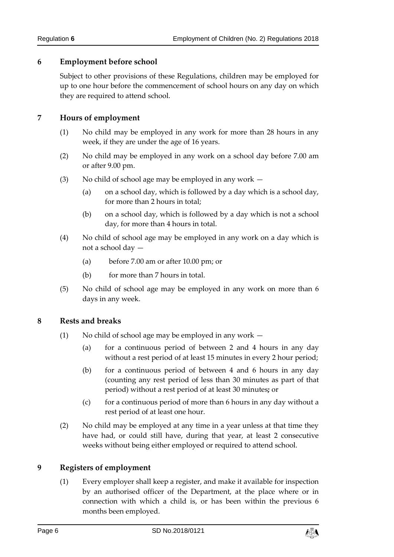## <span id="page-5-0"></span>**6 Employment before school**

Subject to other provisions of these Regulations, children may be employed for up to one hour before the commencement of school hours on any day on which they are required to attend school.

## <span id="page-5-1"></span>**7 Hours of employment**

- (1) No child may be employed in any work for more than 28 hours in any week, if they are under the age of 16 years.
- (2) No child may be employed in any work on a school day before 7.00 am or after 9.00 pm.
- (3) No child of school age may be employed in any work
	- (a) on a school day, which is followed by a day which is a school day, for more than 2 hours in total;
	- (b) on a school day, which is followed by a day which is not a school day, for more than 4 hours in total.
- (4) No child of school age may be employed in any work on a day which is not a school day —
	- (a) before 7.00 am or after 10.00 pm; or
	- (b) for more than 7 hours in total.
- (5) No child of school age may be employed in any work on more than 6 days in any week.

## <span id="page-5-2"></span>**8 Rests and breaks**

- (1) No child of school age may be employed in any work
	- (a) for a continuous period of between 2 and 4 hours in any day without a rest period of at least 15 minutes in every 2 hour period;
	- (b) for a continuous period of between 4 and 6 hours in any day (counting any rest period of less than 30 minutes as part of that period) without a rest period of at least 30 minutes**;** or
	- (c) for a continuous period of more than  $6$  hours in any day without a rest period of at least one hour.
- (2) No child may be employed at any time in a year unless at that time they have had, or could still have, during that year, at least 2 consecutive weeks without being either employed or required to attend school.

## <span id="page-5-3"></span>**9 Registers of employment**

(1) Every employer shall keep a register, and make it available for inspection by an authorised officer of the Department, at the place where or in connection with which a child is, or has been within the previous 6 months been employed.

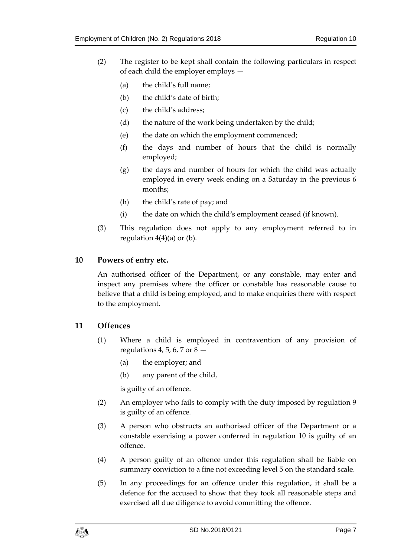- (2) The register to be kept shall contain the following particulars in respect of each child the employer employs —
	- (a) the child's full name;
	- (b) the child's date of birth;
	- (c) the child's address;
	- (d) the nature of the work being undertaken by the child;
	- (e) the date on which the employment commenced;
	- (f) the days and number of hours that the child is normally employed;
	- (g) the days and number of hours for which the child was actually employed in every week ending on a Saturday in the previous 6 months;
	- (h) the child's rate of pay; and
	- (i) the date on which the child's employment ceased (if known).
- (3) This regulation does not apply to any employment referred to in regulation  $4(4)(a)$  or (b).

#### <span id="page-6-0"></span>**10 Powers of entry etc.**

An authorised officer of the Department, or any constable, may enter and inspect any premises where the officer or constable has reasonable cause to believe that a child is being employed, and to make enquiries there with respect to the employment.

#### <span id="page-6-1"></span>**11 Offences**

- (1) Where a child is employed in contravention of any provision of regulations 4, 5, 6, 7 or  $8$  –
	- (a) the employer; and
	- (b) any parent of the child,

is guilty of an offence.

- (2) An employer who fails to comply with the duty imposed by regulation 9 is guilty of an offence.
- (3) A person who obstructs an authorised officer of the Department or a constable exercising a power conferred in regulation 10 is guilty of an offence.
- (4) A person guilty of an offence under this regulation shall be liable on summary conviction to a fine not exceeding level 5 on the standard scale.
- (5) In any proceedings for an offence under this regulation, it shall be a defence for the accused to show that they took all reasonable steps and exercised all due diligence to avoid committing the offence.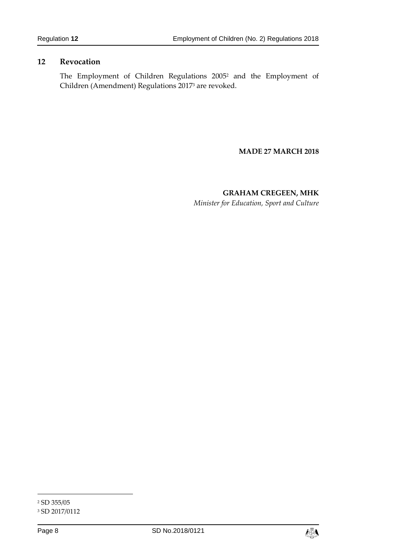## <span id="page-7-0"></span>**12 Revocation**

The Employment of Children Regulations 2005<sup>2</sup> and the Employment of Children (Amendment) Regulations 2017<sup>3</sup> are revoked.

#### **MADE 27 MARCH 2018**

**GRAHAM CREGEEN, MHK** *Minister for Education, Sport and Culture*

1



<sup>2</sup> SD 355/05

<sup>3</sup> SD 2017/0112